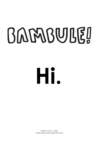# BARABULEL

**Hi.**

Kitchen 6 pm - 10 pm Charcuterie and cheese till 12 pm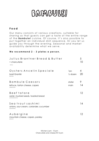### BAMBULE!

#### **F o o d**

Our menu consists of various creations, suitable for sharing so that guests can get a taste of the entire range of the **Bambule!** cuisine. Of course, it's also possible to put together an individual dish sequence. Or you let us guide you through the evening. Seasonal and market availability determine what we serve.

#### **We recommend 2 - 3 plates a person.**

| Julius Brantner Bread & Butter<br>+ charcuterie<br>(G/A/L)                  |                                        | 5<br>10 |
|-----------------------------------------------------------------------------|----------------------------------------|---------|
| Oysters Ancelin Speciale<br>basil Granité<br>(R/L/O/M)                      | 1 <sub>pc</sub><br>$\frac{1}{2}$ dozen | 4<br>20 |
| Bambule Caesars<br>lettuce, tartan cheese, capers<br>(G/B/D/L/H/M)          | stater<br>main                         | 9<br>14 |
| Beeftatare<br>sorrel, mustard seeds, toasted bread<br>(A/C/E/G/H/M/N/O)     |                                        | 12.     |
| Seatrout sashimi<br>onions, sour cream, coriander, cucumber<br>(D/G/H/M/NO) |                                        | 14      |
| Aubergine<br>mountain cheese, capers, parsley<br>(E/G/L/O)                  |                                        | 12.     |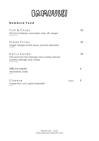### BAMBULE!

#### **B a m b u l e F o o d**

| Fish & Chips<br>Fish from Schliersee, remoulade, chips, dill, vinegar<br>(A/B/D/E/F/H/L/G/O)                             |        | 18 |
|--------------------------------------------------------------------------------------------------------------------------|--------|----|
| Steak Frites<br>Onglet, tarragon butter, beans, pommes allumettes<br>(G/H/E/F/M/L)                                       |        | 18 |
| Katsu Sando<br>Pork neck from the Chiemgau farm Locking, brioche,<br>pointed cabbage, blue cheese<br>(A/C/E/F/G/L/M/N/O) |        | 18 |
| Milk ice cream<br>Strawberries, Oxalis<br>(A/C/G)                                                                        |        | 6  |
| Cheese<br>cheese from Jumi, apple horseradish<br>(G/M/O)                                                                 | 3 pcs. |    |